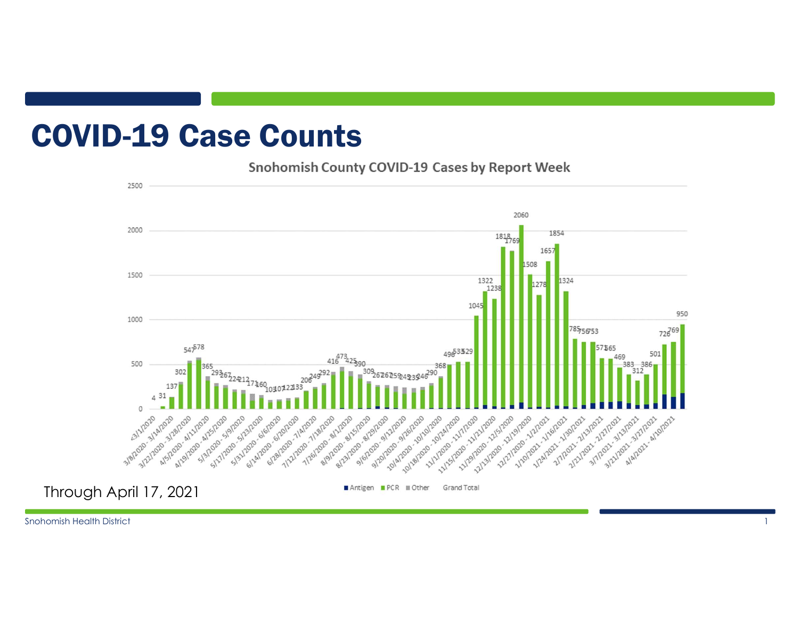### COVID-19 Case Counts

#### Snohomish County COVID-19 Cases by Report Week

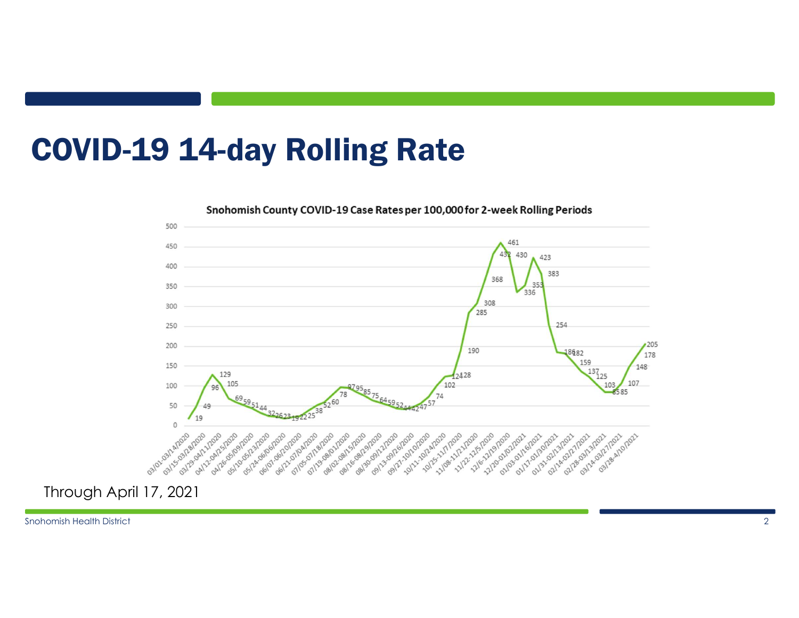# COVID-19 14-day Rolling Rate



Snohomish County COVID-19 Case Rates per 100,000 for 2-week Rolling Periods

Through April 17, 2021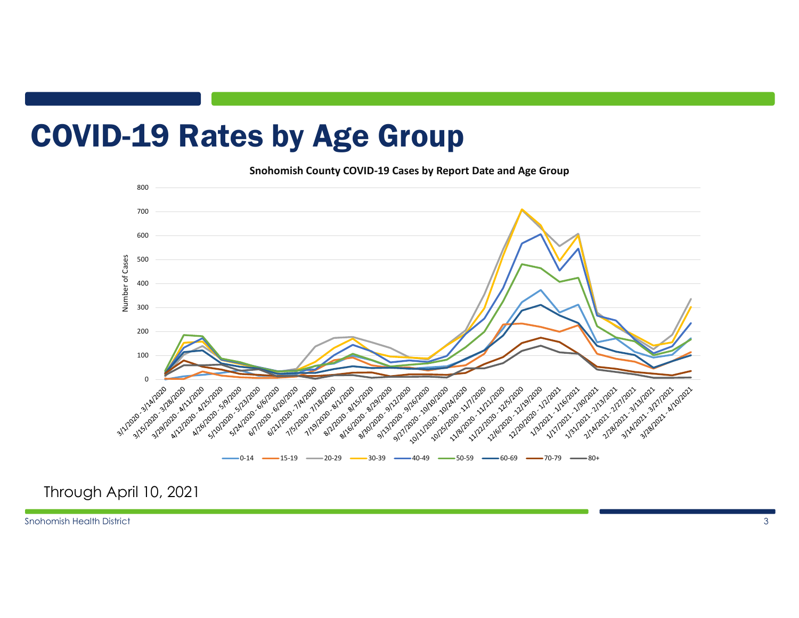## COVID-19 Rates by Age Group

Snohomish County COVID-19 Cases by Report Date and Age Group



#### Through April 10, 2021